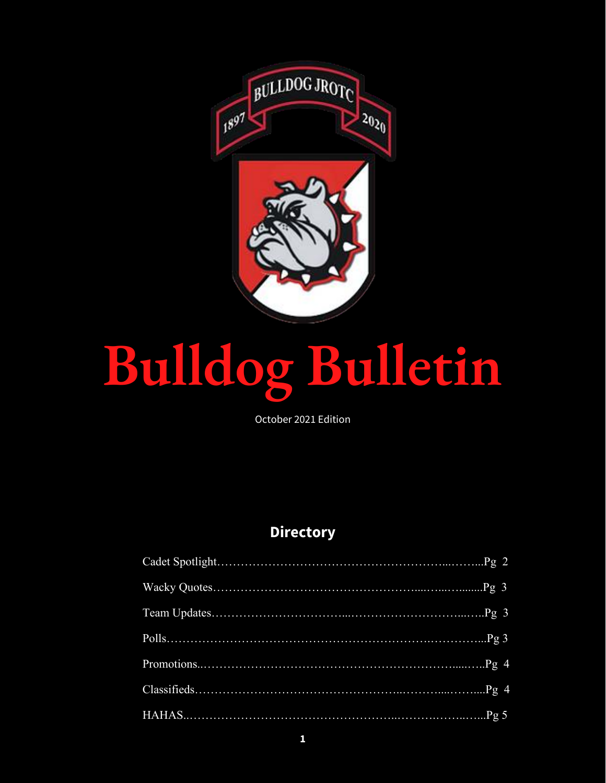

# **Bulldog Bulletin**

October 2021 Edition

# **Directory**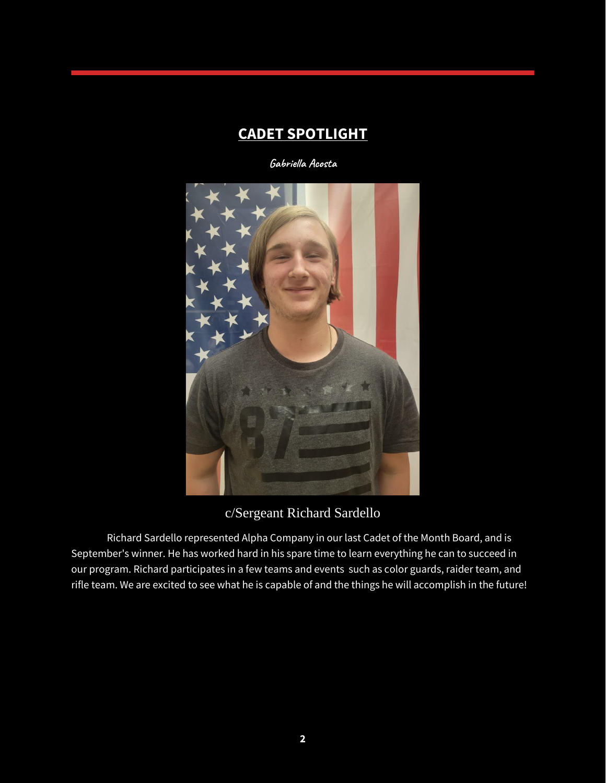#### **CADET SPOTLIGHT**

**Gabriella Acosta**



#### c/Sergeant Richard Sardello

Richard Sardello represented Alpha Company in our last Cadet of the Month Board, and is September's winner. He has worked hard in his spare time to learn everything he can to succeed in our program. Richard participates in a few teams and events such as color guards, raider team, and rifle team. We are excited to see what he is capable of and the things he will accomplish in the future!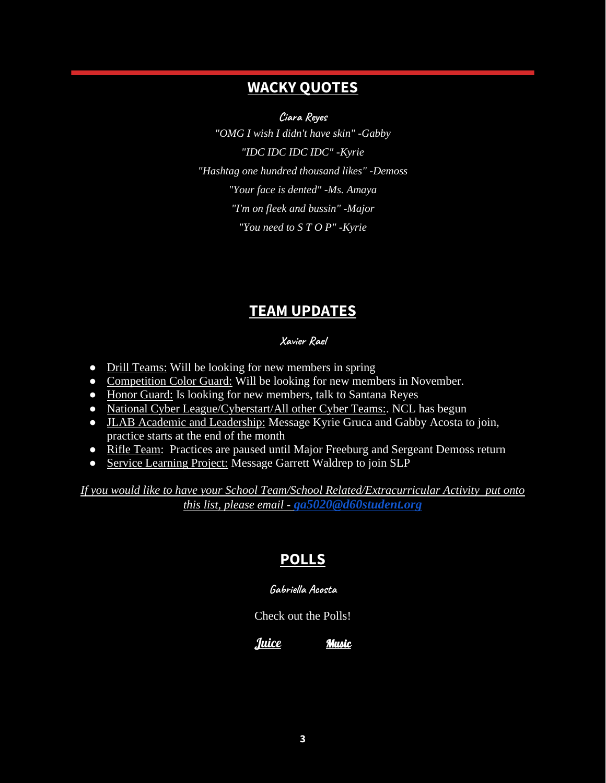#### **WACKY QUOTES**

**Ciara Reyes**

*"OMG I wish I didn't have skin" -Gabby "IDC IDC IDC IDC" -Kyrie "Hashtag one hundred thousand likes" -Demoss "Your face is dented" -Ms. Amaya "I'm on fleek and bussin" -Major "You need to S T O P" -Kyrie* 

## **TEAM UPDATES**

#### **Xavier Rael**

- Drill Teams: Will be looking for new members in spring
- Competition Color Guard: Will be looking for new members in November.
- Honor Guard: Is looking for new members, talk to Santana Reyes
- National Cyber League/Cyberstart/All other Cyber Teams:. NCL has begun
- JLAB Academic and Leadership: Message Kyrie Gruca and Gabby Acosta to join, practice starts at the end of the month
- Rifle Team: Practices are paused until Major Freeburg and Sergeant Demoss return
- Service Learning Project: Message Garrett Waldrep to join SLP

*If you would like to have your School Team/School Related/Extracurricular Activity put onto this list, please email - [ga5020@d60student.org](mailto:ga5020@d60student.org)*

# **POLLS**

#### **Gabriella Acosta**

Check out the Polls!

[Juice](https://docs.google.com/forms/d/e/1FAIpQLSfK12tVKtQCX5d0YRMBAEuOL9vFDEuFqHCV_aNMpkKZXsYoMw/viewform?usp=sf_link) [Music](https://docs.google.com/forms/d/e/1FAIpQLSd25hr3Wzt4XFGU5zNvzBloTYfZC69o4ZKqppQVEMukCn-eGw/viewform?usp=sf_link)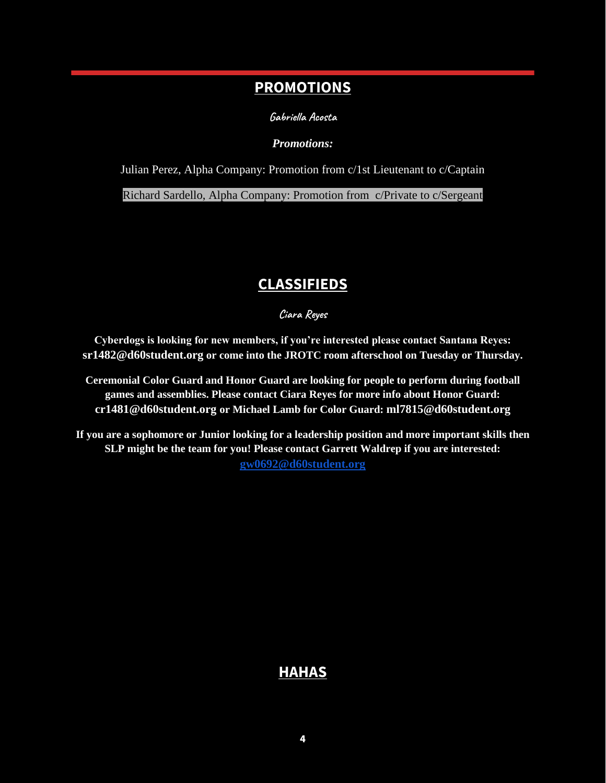#### **PROMOTIONS**

**Gabriella Acosta**

*Promotions:*

Julian Perez, Alpha Company: Promotion from c/1st Lieutenant to c/Captain

Richard Sardello, Alpha Company: Promotion from c/Private to c/Sergeant

# **CLASSIFIEDS**

**Ciara Reyes**

**Cyberdogs is looking for new members, if you're interested please contact Santana Reyes: sr1482@d60student.org or come into the JROTC room afterschool on Tuesday or Thursday.**

**Ceremonial Color Guard and Honor Guard are looking for people to perform during football games and assemblies. Please contact Ciara Reyes for more info about Honor Guard: cr1481@d60student.org or Michael Lamb for Color Guard: ml7815@d60student.org**

**If you are a sophomore or Junior looking for a leadership position and more important skills then SLP might be the team for you! Please contact Garrett Waldrep if you are interested: [gw0692@d60student.org](mailto:gw0692@d60student.org)**

#### **HAHAS**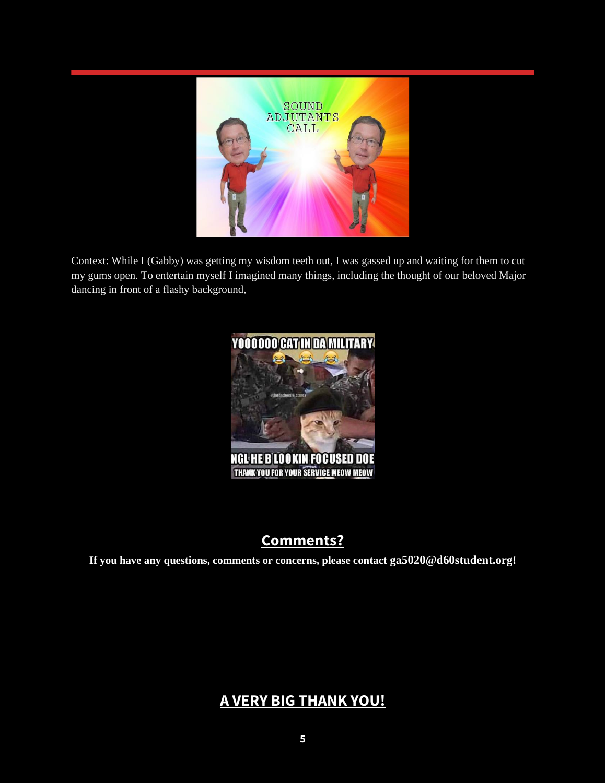

Context: While I (Gabby) was getting my wisdom teeth out, I was gassed up and waiting for them to cut my gums open. To entertain myself I imagined many things, including the thought of our beloved Major dancing in front of a flashy background,



# **Comments?**

**If you have any questions, comments or concerns, please contact ga5020@d60student.org!**

## **A VERY BIG THANK YOU!**